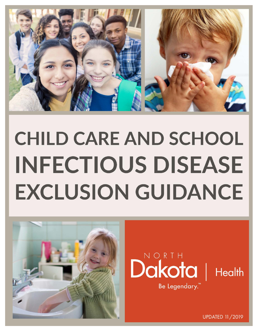

# **CHILD CARE AND SCHOOL INFECTIOUS DISEASE EXCLUSION GUIDANCE**





UPDATED 11/2019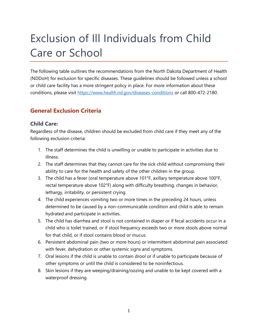# Exclusion of Ill Individuals from Child Care or School

The following table outlines the recommendations from the North Dakota Department of Health (NDDoH) for exclusion for specific diseases. These guidelines should be followed unless a school or child care facility has a more stringent policy in place. For more information about these conditions, please visit<https://www.health.nd.gov/diseases-conditions> or call 800-472-2180.

## **General Exclusion Criteria**

#### **Child Care:**

Regardless of the disease, children should be excluded from child care if they meet any of the following exclusion criteria:

- 1. The staff determines the child is unwilling or unable to participate in activities due to illness.
- 2. The staff determines that they cannot care for the sick child without compromising their ability to care for the health and safety of the other children in the group.
- 3. The child has a fever (oral temperature above 101°F, axillary temperature above 100°F, rectal temperature above 102°F) along with difficulty breathing, changes in behavior, lethargy, irritability, or persistent crying.
- 4. The child experiences vomiting two or more times in the preceding 24 hours, unless determined to be caused by a non-communicable condition and child is able to remain hydrated and participate in activities.
- 5. The child has diarrhea and stool is not contained in diaper or if fecal accidents occur in a child who is toilet trained, or if stool frequency exceeds two or more stools above normal for that child, or if stool contains blood or mucus.
- 6. Persistent abdominal pain (two or more hours) or intermittent abdominal pain associated with fever, dehydration or other systemic signs and symptoms.
- 7. Oral lesions if the child is unable to contain drool or if unable to participate because of other symptoms or until the child is considered to be noninfectious.
- 8. Skin lesions if they are weeping/draining/oozing and unable to be kept covered with a waterproof dressing.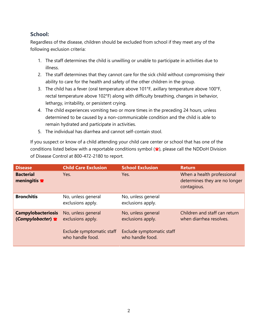#### **School:**

Regardless of the disease, children should be excluded from school if they meet any of the following exclusion criteria:

- 1. The staff determines the child is unwilling or unable to participate in activities due to illness.
- 2. The staff determines that they cannot care for the sick child without compromising their ability to care for the health and safety of the other children in the group.
- 3. The child has a fever (oral temperature above 101°F, axillary temperature above 100°F, rectal temperature above 102°F) along with difficulty breathing, changes in behavior, lethargy, irritability, or persistent crying.
- 4. The child experiences vomiting two or more times in the preceding 24 hours, unless determined to be caused by a non-communicable condition and the child is able to remain hydrated and participate in activities.
- 5. The individual has diarrhea and cannot self-contain stool.

If you suspect or know of a child attending your child care center or school that has one of the conditions listed below with a reportable conditions symbol  $(\bullet)$ , please call the NDDoH Division of Disease Control at 800-472-2180 to report.

| <b>Disease</b>                                | <b>Child Care Exclusion</b>                                                              | <b>School Exclusion</b>                                                                  | <b>Return</b>                                                              |
|-----------------------------------------------|------------------------------------------------------------------------------------------|------------------------------------------------------------------------------------------|----------------------------------------------------------------------------|
| <b>Bacterial</b><br>meningitis $\blacksquare$ | Yes.                                                                                     | Yes.                                                                                     | When a health professional<br>determines they are no longer<br>contagious. |
| <b>Bronchitis</b>                             | No, unless general<br>exclusions apply.                                                  | No, unless general<br>exclusions apply.                                                  |                                                                            |
| <b>Campylobacteriosis</b><br>(Campylobacter)  | No, unless general<br>exclusions apply.<br>Exclude symptomatic staff<br>who handle food. | No, unless general<br>exclusions apply.<br>Exclude symptomatic staff<br>who handle food. | Children and staff can return<br>when diarrhea resolves.                   |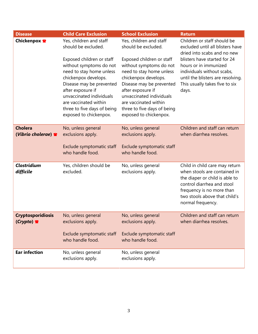| <b>Disease</b>                                | <b>Child Care Exclusion</b>                                                                                                                                                                                                                                             | <b>School Exclusion</b>                                                                                                                                                                                                                                                 | <b>Return</b>                                                                                                                                                                                                     |
|-----------------------------------------------|-------------------------------------------------------------------------------------------------------------------------------------------------------------------------------------------------------------------------------------------------------------------------|-------------------------------------------------------------------------------------------------------------------------------------------------------------------------------------------------------------------------------------------------------------------------|-------------------------------------------------------------------------------------------------------------------------------------------------------------------------------------------------------------------|
| <b>Chickenpox <sup>2</sup></b>                | Yes, children and staff<br>should be excluded.                                                                                                                                                                                                                          | Yes, children and staff<br>should be excluded.                                                                                                                                                                                                                          | Children or staff should be<br>excluded until all blisters have<br>dried into scabs and no new                                                                                                                    |
|                                               | Exposed children or staff<br>without symptoms do not<br>need to stay home unless<br>chickenpox develops.<br>Disease may be prevented<br>after exposure if<br>unvaccinated individuals<br>are vaccinated within<br>three to five days of being<br>exposed to chickenpox. | Exposed children or staff<br>without symptoms do not<br>need to stay home unless<br>chickenpox develops.<br>Disease may be prevented<br>after exposure if<br>unvaccinated individuals<br>are vaccinated within<br>three to five days of being<br>exposed to chickenpox. | blisters have started for 24<br>hours or in immunized<br>individuals without scabs,<br>until the blisters are resolving.<br>This usually takes five to six<br>days.                                               |
| <b>Cholera</b><br>(Vibrio cholerae) $\bullet$ | No, unless general<br>exclusions apply.                                                                                                                                                                                                                                 | No, unless general<br>exclusions apply.                                                                                                                                                                                                                                 | Children and staff can return<br>when diarrhea resolves.                                                                                                                                                          |
|                                               | Exclude symptomatic staff<br>who handle food.                                                                                                                                                                                                                           | Exclude symptomatic staff<br>who handle food.                                                                                                                                                                                                                           |                                                                                                                                                                                                                   |
| <b>Clostridium</b><br>difficile               | Yes, children should be<br>excluded.                                                                                                                                                                                                                                    | No, unless general<br>exclusions apply.                                                                                                                                                                                                                                 | Child in child care may return<br>when stools are contained in<br>the diaper or child is able to<br>control diarrhea and stool<br>frequency is no more than<br>two stools above that child's<br>normal frequency. |
| <b>Cryptosporidiosis</b><br>(Crypto)          | No, unless general<br>exclusions apply.                                                                                                                                                                                                                                 | No, unless general<br>exclusions apply.                                                                                                                                                                                                                                 | Children and staff can return<br>when diarrhea resolves.                                                                                                                                                          |
|                                               | Exclude symptomatic staff<br>who handle food.                                                                                                                                                                                                                           | Exclude symptomatic staff<br>who handle food.                                                                                                                                                                                                                           |                                                                                                                                                                                                                   |
| <b>Ear infection</b>                          | No, unless general<br>exclusions apply.                                                                                                                                                                                                                                 | No, unless general<br>exclusions apply.                                                                                                                                                                                                                                 |                                                                                                                                                                                                                   |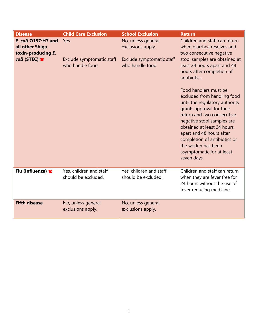| <b>Disease</b>                                                                           | <b>Child Care Exclusion</b>                    | <b>School Exclusion</b>                                              | <b>Return</b>                                                                                                                                                                                                                                                                                                                                |
|------------------------------------------------------------------------------------------|------------------------------------------------|----------------------------------------------------------------------|----------------------------------------------------------------------------------------------------------------------------------------------------------------------------------------------------------------------------------------------------------------------------------------------------------------------------------------------|
| E. coli O157:H7 and<br>all other Shiga<br>toxin-producing E.<br>coli (STEC) <sup>8</sup> | Yes.<br>Exclude symptomatic staff              | No, unless general<br>exclusions apply.<br>Exclude symptomatic staff | Children and staff can return<br>when diarrhea resolves and<br>two consecutive negative<br>stool samples are obtained at                                                                                                                                                                                                                     |
|                                                                                          | who handle food.                               | who handle food.                                                     | least 24 hours apart and 48<br>hours after completion of<br>antibiotics.                                                                                                                                                                                                                                                                     |
|                                                                                          |                                                |                                                                      | Food handlers must be<br>excluded from handling food<br>until the regulatory authority<br>grants approval for their<br>return and two consecutive<br>negative stool samples are<br>obtained at least 24 hours<br>apart and 48 hours after<br>completion of antibiotics or<br>the worker has been<br>asymptomatic for at least<br>seven days. |
| Flu (Influenza) $\mathbf{\Omega}$                                                        | Yes, children and staff<br>should be excluded. | Yes, children and staff<br>should be excluded.                       | Children and staff can return<br>when they are fever free for<br>24 hours without the use of<br>fever reducing medicine.                                                                                                                                                                                                                     |
| <b>Fifth disease</b>                                                                     | No, unless general<br>exclusions apply.        | No, unless general<br>exclusions apply.                              |                                                                                                                                                                                                                                                                                                                                              |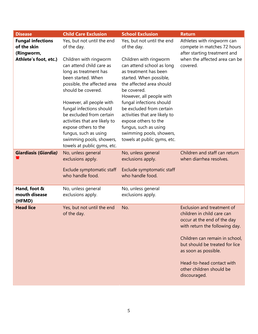| <b>Disease</b>                                        | <b>Child Care Exclusion</b>                                                                                                                                                                                                                                                                                                                                                             | <b>School Exclusion</b>                                                                                                                                                                                                                                                                                                                                                             | <b>Return</b>                                                                                                                                                                                                                                                                                  |
|-------------------------------------------------------|-----------------------------------------------------------------------------------------------------------------------------------------------------------------------------------------------------------------------------------------------------------------------------------------------------------------------------------------------------------------------------------------|-------------------------------------------------------------------------------------------------------------------------------------------------------------------------------------------------------------------------------------------------------------------------------------------------------------------------------------------------------------------------------------|------------------------------------------------------------------------------------------------------------------------------------------------------------------------------------------------------------------------------------------------------------------------------------------------|
| <b>Fungal infections</b><br>of the skin<br>(Ringworm, | Yes, but not until the end<br>of the day.                                                                                                                                                                                                                                                                                                                                               | Yes, but not until the end<br>of the day.                                                                                                                                                                                                                                                                                                                                           | Athletes with ringworm can<br>compete in matches 72 hours<br>after starting treatment and                                                                                                                                                                                                      |
| Athlete's foot, etc.)                                 | Children with ringworm<br>can attend child care as<br>long as treatment has<br>been started. When<br>possible, the affected area<br>should be covered.<br>However, all people with<br>fungal infections should<br>be excluded from certain<br>activities that are likely to<br>expose others to the<br>fungus, such as using<br>swimming pools, showers,<br>towels at public gyms, etc. | Children with ringworm<br>can attend school as long<br>as treatment has been<br>started. When possible,<br>the affected area should<br>be covered.<br>However, all people with<br>fungal infections should<br>be excluded from certain<br>activities that are likely to<br>expose others to the<br>fungus, such as using<br>swimming pools, showers,<br>towels at public gyms, etc. | when the affected area can be<br>covered.                                                                                                                                                                                                                                                      |
| Giardiasis (Giardia)                                  | No, unless general<br>exclusions apply.<br>Exclude symptomatic staff<br>who handle food.                                                                                                                                                                                                                                                                                                | No, unless general<br>exclusions apply.<br>Exclude symptomatic staff<br>who handle food.                                                                                                                                                                                                                                                                                            | Children and staff can return<br>when diarrhea resolves.                                                                                                                                                                                                                                       |
| Hand, foot &<br>mouth disease<br>(HFMD)               | No, unless general<br>exclusions apply.                                                                                                                                                                                                                                                                                                                                                 | No, unless general<br>exclusions apply.                                                                                                                                                                                                                                                                                                                                             |                                                                                                                                                                                                                                                                                                |
| <b>Head lice</b>                                      | Yes, but not until the end<br>of the day.                                                                                                                                                                                                                                                                                                                                               | No.                                                                                                                                                                                                                                                                                                                                                                                 | Exclusion and treatment of<br>children in child care can<br>occur at the end of the day<br>with return the following day.<br>Children can remain in school,<br>but should be treated for lice<br>as soon as possible.<br>Head-to-head contact with<br>other children should be<br>discouraged. |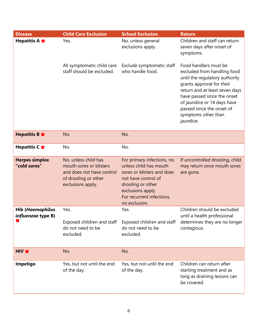| <b>Disease</b>                                       | <b>Child Care Exclusion</b>                                                                                               | <b>School Exclusion</b>                                                                                                                                                                            | <b>Return</b>                                                                                                                                                                                                                                                                        |
|------------------------------------------------------|---------------------------------------------------------------------------------------------------------------------------|----------------------------------------------------------------------------------------------------------------------------------------------------------------------------------------------------|--------------------------------------------------------------------------------------------------------------------------------------------------------------------------------------------------------------------------------------------------------------------------------------|
| Hepatitis A                                          | Yes.                                                                                                                      | No, unless general<br>exclusions apply.                                                                                                                                                            | Children and staff can return<br>seven days after onset of<br>symptoms.                                                                                                                                                                                                              |
|                                                      | All symptomatic child care<br>staff should be excluded.                                                                   | Exclude symptomatic staff<br>who handle food.                                                                                                                                                      | Food handlers must be<br>excluded from handling food<br>until the regulatory authority<br>grants approval for their<br>return and at least seven days<br>have passed since the onset<br>of jaundice or 14 days have<br>passed since the onset of<br>symptoms other than<br>jaundice. |
| Hepatitis B                                          | No.                                                                                                                       | No.                                                                                                                                                                                                |                                                                                                                                                                                                                                                                                      |
| Hepatitis $C \cdot$                                  | No.                                                                                                                       | No.                                                                                                                                                                                                |                                                                                                                                                                                                                                                                                      |
| <b>Herpes simplex</b><br>"cold sores"                | No, unless child has<br>mouth sores or blisters<br>and does not have control<br>of drooling or other<br>exclusions apply. | For primary infections, no,<br>unless child has mouth<br>sores or blisters and does<br>not have control of<br>drooling or other<br>exclusions apply.<br>For recurrent infections,<br>no exclusion. | If uncontrolled drooling, child<br>may return once mouth sores<br>are gone.                                                                                                                                                                                                          |
| <b>Hib (Haemophilus</b><br><i>influenzae</i> type B) | Yes.<br>do not need to be<br>excluded.                                                                                    | Yes.<br>do not need to be<br>excluded.                                                                                                                                                             | Children should be excluded<br>until a health professional<br>Exposed children and staff Exposed children and staff determines they are no longer<br>contagious.                                                                                                                     |
| <b>HIV &amp;</b>                                     | No.                                                                                                                       | No.                                                                                                                                                                                                |                                                                                                                                                                                                                                                                                      |
| Impetigo                                             | Yes, but not until the end<br>of the day.                                                                                 | Yes, but not until the end<br>of the day.                                                                                                                                                          | Children can return after<br>starting treatment and as<br>long as draining lesions can<br>be covered.                                                                                                                                                                                |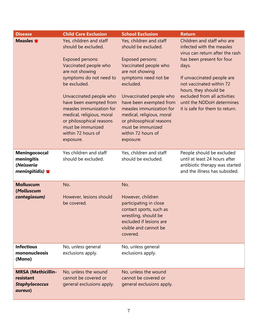| <b>Disease</b>                                                             | <b>Child Care Exclusion</b>                                                                                                                                                                     | <b>School Exclusion</b>                                                                                                                                                                         | <b>Return</b>                                                                                                                 |
|----------------------------------------------------------------------------|-------------------------------------------------------------------------------------------------------------------------------------------------------------------------------------------------|-------------------------------------------------------------------------------------------------------------------------------------------------------------------------------------------------|-------------------------------------------------------------------------------------------------------------------------------|
| Measles <sup>2</sup>                                                       | Yes, children and staff<br>should be excluded.                                                                                                                                                  | Yes, children and staff<br>should be excluded.                                                                                                                                                  | Children and staff who are<br>infected with the measles<br>virus can return after the rash                                    |
|                                                                            | Exposed persons:<br>Vaccinated people who<br>are not showing                                                                                                                                    | Exposed persons:<br>Vaccinated people who<br>are not showing                                                                                                                                    | has been present for four<br>days.                                                                                            |
|                                                                            | symptoms do not need to<br>be excluded.                                                                                                                                                         | symptoms need not be<br>excluded.                                                                                                                                                               | If unvaccinated people are<br>not vaccinated within 72<br>hours, they should be                                               |
|                                                                            | Unvaccinated people who<br>have been exempted from<br>measles immunization for<br>medical, religious, moral<br>or philosophical reasons<br>must be immunized<br>within 72 hours of<br>exposure. | Unvaccinated people who<br>have been exempted from<br>measles immunization for<br>medical, religious, moral<br>or philosophical reasons<br>must be immunized<br>within 72 hours of<br>exposure. | excluded from all activities<br>until the NDDoH determines<br>it is safe for them to return.                                  |
| Meningococcal<br>meningitis<br>(Neisseria<br>meningitidis) <b>R</b>        | Yes children and staff<br>should be excluded.                                                                                                                                                   | Yes, children and staff<br>should be excluded.                                                                                                                                                  | People should be excluded<br>until at least 24 hours after<br>antibiotic therapy was started<br>and the illness has subsided. |
| <b>Molluscum</b>                                                           | No.                                                                                                                                                                                             | No.                                                                                                                                                                                             |                                                                                                                               |
| (Molluscum<br>contagiosum)                                                 | However, lesions should<br>be covered.                                                                                                                                                          | However, children<br>participating in close<br>contact sports, such as<br>wrestling, should be<br>excluded if lesions are<br>visible and cannot be<br>covered.                                  |                                                                                                                               |
| <b>Infectious</b><br>mononucleosis<br>(Mono)                               | No, unless general<br>exclusions apply.                                                                                                                                                         | No, unless general<br>exclusions apply.                                                                                                                                                         |                                                                                                                               |
| <b>MRSA (Methicillin-</b><br>resistant<br><b>Staphylococcus</b><br>aureus) | No, unless the wound<br>cannot be covered or<br>general exclusions apply.                                                                                                                       | No, unless the wound<br>cannot be covered or<br>general exclusions apply.                                                                                                                       |                                                                                                                               |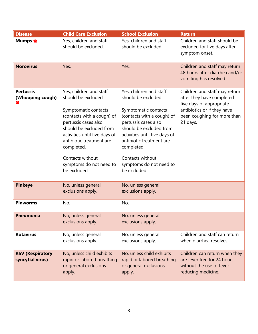| <b>Disease</b>                              | <b>Child Care Exclusion</b>                                                                                                                                                      | <b>School Exclusion</b>                                                                                                                                                          | <b>Return</b>                                                                                                  |
|---------------------------------------------|----------------------------------------------------------------------------------------------------------------------------------------------------------------------------------|----------------------------------------------------------------------------------------------------------------------------------------------------------------------------------|----------------------------------------------------------------------------------------------------------------|
| Mumps <sup>2</sup>                          | Yes, children and staff<br>should be excluded.                                                                                                                                   | Yes, children and staff<br>should be excluded.                                                                                                                                   | Children and staff should be<br>excluded for five days after<br>symptom onset.                                 |
| <b>Norovirus</b>                            | Yes.                                                                                                                                                                             | Yes.                                                                                                                                                                             | Children and staff may return<br>48 hours after diarrhea and/or<br>vomiting has resolved.                      |
| <b>Pertussis</b>                            | Yes, children and staff                                                                                                                                                          | Yes, children and staff                                                                                                                                                          | Children and staff may return                                                                                  |
| (Whooping cough)                            | should be excluded.                                                                                                                                                              | should be excluded.                                                                                                                                                              | after they have completed<br>five days of appropriate                                                          |
|                                             | Symptomatic contacts<br>(contacts with a cough) of<br>pertussis cases also<br>should be excluded from<br>activities until five days of<br>antibiotic treatment are<br>completed. | Symptomatic contacts<br>(contacts with a cough) of<br>pertussis cases also<br>should be excluded from<br>activities until five days of<br>antibiotic treatment are<br>completed. | antibiotics or if they have<br>been coughing for more than<br>21 days.                                         |
|                                             | Contacts without<br>symptoms do not need to<br>be excluded.                                                                                                                      | Contacts without<br>symptoms do not need to<br>be excluded.                                                                                                                      |                                                                                                                |
| <b>Pinkeye</b>                              | No, unless general<br>exclusions apply.                                                                                                                                          | No, unless general<br>exclusions apply.                                                                                                                                          |                                                                                                                |
| <b>Pinworms</b>                             | No.                                                                                                                                                                              | No.                                                                                                                                                                              |                                                                                                                |
| <b>Pneumonia</b>                            | No, unless general<br>exclusions apply.                                                                                                                                          | No, unless general<br>exclusions apply.                                                                                                                                          |                                                                                                                |
| <b>Rotavirus</b>                            | No, unless general<br>exclusions apply.                                                                                                                                          | No, unless general<br>exclusions apply.                                                                                                                                          | Children and staff can return<br>when diarrhea resolves.                                                       |
| <b>RSV (Respiratory</b><br>syncytial virus) | No, unless child exhibits<br>rapid or labored breathing<br>or general exclusions<br>apply.                                                                                       | No, unless child exhibits<br>rapid or labored breathing<br>or general exclusions<br>apply.                                                                                       | Children can return when they<br>are fever free for 24 hours<br>without the use of fever<br>reducing medicine. |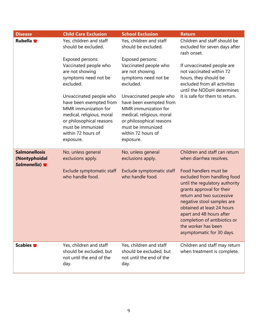| <b>Disease</b>                                       | <b>Child Care Exclusion</b>                                                                                                                                                                                                                                                                      | <b>School Exclusion</b>                                                                                                                                                                                                                                                                          | <b>Return</b>                                                                                                                                                                                                                                                                                                                |
|------------------------------------------------------|--------------------------------------------------------------------------------------------------------------------------------------------------------------------------------------------------------------------------------------------------------------------------------------------------|--------------------------------------------------------------------------------------------------------------------------------------------------------------------------------------------------------------------------------------------------------------------------------------------------|------------------------------------------------------------------------------------------------------------------------------------------------------------------------------------------------------------------------------------------------------------------------------------------------------------------------------|
| Rubella <sup>2</sup>                                 | Yes, children and staff<br>should be excluded.                                                                                                                                                                                                                                                   | Yes, children and staff<br>should be excluded.                                                                                                                                                                                                                                                   | Children and staff should be<br>excluded for seven days after<br>rash onset.                                                                                                                                                                                                                                                 |
|                                                      | Exposed persons:<br>Vaccinated people who<br>are not showing<br>symptoms need not be<br>excluded.<br>Unvaccinated people who<br>have been exempted from<br>MMR immunization for<br>medical, religious, moral<br>or philosophical reasons<br>must be immunized<br>within 72 hours of<br>exposure. | Exposed persons:<br>Vaccinated people who<br>are not showing<br>symptoms need not be<br>excluded.<br>Unvaccinated people who<br>have been exempted from<br>MMR immunization for<br>medical, religious, moral<br>or philosophical reasons<br>must be immunized<br>within 72 hours of<br>exposure. | If unvaccinated people are<br>not vaccinated within 72<br>hours, they should be<br>excluded from all activities<br>until the NDDoH determines<br>it is safe for them to return.                                                                                                                                              |
| <b>Salmonellosis</b><br>(Nontyphoidal<br>Salmonella) | No, unless general<br>exclusions apply.                                                                                                                                                                                                                                                          | No, unless general<br>exclusions apply.                                                                                                                                                                                                                                                          | Children and staff can return<br>when diarrhea resolves.                                                                                                                                                                                                                                                                     |
|                                                      | Exclude symptomatic staff<br>who handle food.                                                                                                                                                                                                                                                    | Exclude symptomatic staff<br>who handle food.                                                                                                                                                                                                                                                    | Food handlers must be<br>excluded from handling food<br>until the regulatory authority<br>grants approval for their<br>return and two successive<br>negative stool samples are<br>obtained at least 24 hours<br>apart and 48 hours after<br>completion of antibiotics or<br>the worker has been<br>asymptomatic for 30 days. |
| <b>Scabies <sup>®</sup></b>                          | Yes, children and staff<br>should be excluded, but<br>not until the end of the<br>day.                                                                                                                                                                                                           | Yes, children and staff<br>should be excluded, but<br>not until the end of the<br>day.                                                                                                                                                                                                           | Children and staff may return<br>when treatment is complete.                                                                                                                                                                                                                                                                 |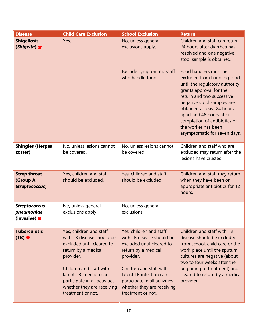| <b>Disease</b>                                                | <b>Child Care Exclusion</b>                                                                                                                                                                                                                                     | <b>School Exclusion</b>                                                                                                                                                                                                                                         | <b>Return</b>                                                                                                                                                                                                                                                                                                                   |
|---------------------------------------------------------------|-----------------------------------------------------------------------------------------------------------------------------------------------------------------------------------------------------------------------------------------------------------------|-----------------------------------------------------------------------------------------------------------------------------------------------------------------------------------------------------------------------------------------------------------------|---------------------------------------------------------------------------------------------------------------------------------------------------------------------------------------------------------------------------------------------------------------------------------------------------------------------------------|
| <b>Shigellosis</b><br>(Shigella)                              | Yes.                                                                                                                                                                                                                                                            | No, unless general<br>exclusions apply.                                                                                                                                                                                                                         | Children and staff can return<br>24 hours after diarrhea has<br>resolved and one negative<br>stool sample is obtained.                                                                                                                                                                                                          |
|                                                               |                                                                                                                                                                                                                                                                 | Exclude symptomatic staff<br>who handle food.                                                                                                                                                                                                                   | Food handlers must be<br>excluded from handling food<br>until the regulatory authority<br>grants approval for their<br>return and two successive<br>negative stool samples are<br>obtained at least 24 hours<br>apart and 48 hours after<br>completion of antibiotics or<br>the worker has been<br>asymptomatic for seven days. |
| <b>Shingles (Herpes</b><br>zoster)                            | No, unless lesions cannot<br>be covered.                                                                                                                                                                                                                        | No, unless lesions cannot<br>be covered.                                                                                                                                                                                                                        | Children and staff who are<br>excluded may return after the<br>lesions have crusted.                                                                                                                                                                                                                                            |
| <b>Strep throat</b><br>(Group A<br><b>Streptococcus)</b>      | Yes, children and staff<br>should be excluded.                                                                                                                                                                                                                  | Yes, children and staff<br>should be excluded.                                                                                                                                                                                                                  | Children and staff may return<br>when they have been on<br>appropriate antibiotics for 12<br>hours.                                                                                                                                                                                                                             |
| <b>Streptococcus</b><br>pneumoniae<br>(invasive) <sup>•</sup> | No, unless general<br>exclusions apply.                                                                                                                                                                                                                         | No, unless general<br>exclusions.                                                                                                                                                                                                                               |                                                                                                                                                                                                                                                                                                                                 |
| <b>Tuberculosis</b><br>$(TB)$ $\hat{ }$                       | Yes, children and staff<br>with TB disease should be<br>excluded until cleared to<br>return by a medical<br>provider.<br>Children and staff with<br>latent TB infection can<br>participate in all activities<br>whether they are receiving<br>treatment or not. | Yes, children and staff<br>with TB disease should be<br>excluded until cleared to<br>return by a medical<br>provider.<br>Children and staff with<br>latent TB infection can<br>participate in all activities<br>whether they are receiving<br>treatment or not. | Children and staff with TB<br>disease should be excluded<br>from school, child care or the<br>work place until the sputum<br>cultures are negative (about<br>two to four weeks after the<br>beginning of treatment) and<br>cleared to return by a medical<br>provider.                                                          |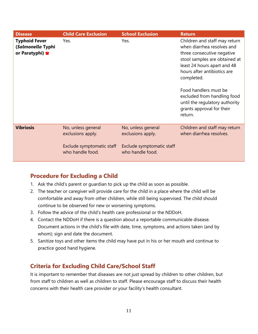| <b>Disease</b>                                                          | <b>Child Care Exclusion</b>                                                              | <b>School Exclusion</b>                                                                  | <b>Return</b>                                                                                                                                                                                                                                                                                                                            |
|-------------------------------------------------------------------------|------------------------------------------------------------------------------------------|------------------------------------------------------------------------------------------|------------------------------------------------------------------------------------------------------------------------------------------------------------------------------------------------------------------------------------------------------------------------------------------------------------------------------------------|
| <b>Typhoid Fever</b><br>(Salmonella Typhi<br>or Paratyphi) <sup>•</sup> | Yes.                                                                                     | Yes.                                                                                     | Children and staff may return<br>when diarrhea resolves and<br>three consecutive negative<br>stool samples are obtained at<br>least 24 hours apart and 48<br>hours after antibiotics are<br>completed.<br>Food handlers must be<br>excluded from handling food<br>until the regulatory authority<br>grants approval for their<br>return. |
| <b>Vibriosis</b>                                                        | No, unless general<br>exclusions apply.<br>Exclude symptomatic staff<br>who handle food. | No, unless general<br>exclusions apply.<br>Exclude symptomatic staff<br>who handle food. | Children and staff may return<br>when diarrhea resolves.                                                                                                                                                                                                                                                                                 |

### **Procedure for Excluding a Child**

- 1. Ask the child's parent or guardian to pick up the child as soon as possible.
- 2. The teacher or caregiver will provide care for the child in a place where the child will be comfortable and away from other children, while still being supervised. The child should continue to be observed for new or worsening symptoms.
- 3. Follow the advice of the child's health care professional or the NDDoH.
- 4. Contact the NDDoH if there is a question about a reportable communicable disease. Document actions in the child's file with date, time, symptoms, and actions taken (and by whom); sign and date the document.
- 5. Sanitize toys and other items the child may have put in his or her mouth and continue to practice good hand hygiene.

### **Criteria for Excluding Child Care/School Staff**

It is important to remember that diseases are not just spread by children to other children, but from staff to children as well as children to staff. Please encourage staff to discuss their health concerns with their health care provider or your facility's health consultant.